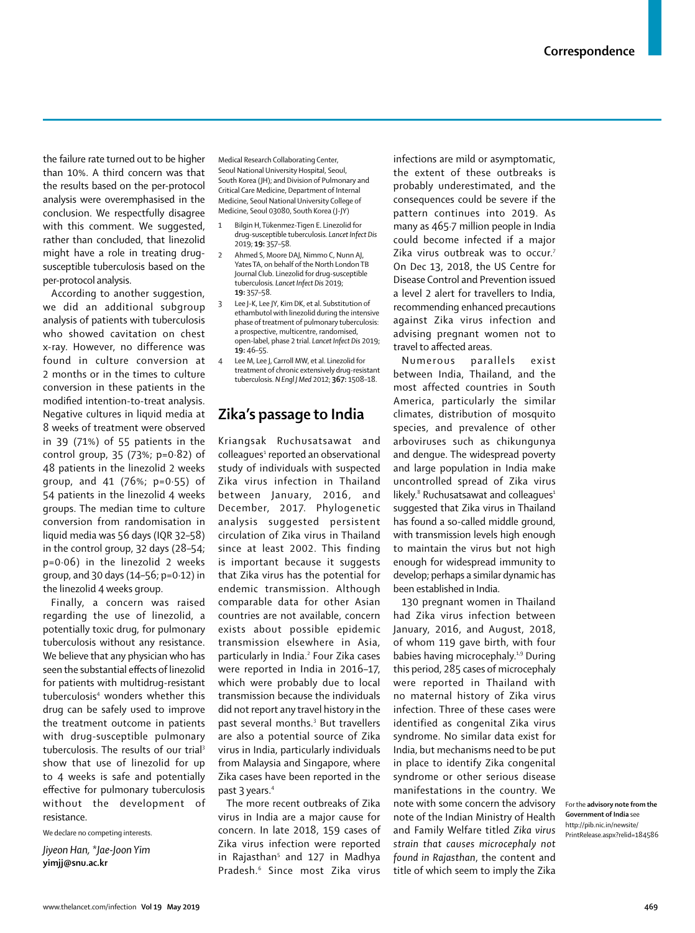the failure rate turned out to be higher than 10%. A third concern was that the results based on the per-protocol analysis were overemphasised in the conclusion. We respectfully disagree with this comment. We suggested, rather than concluded, that linezolid might have a role in treating drugsusceptible tuberculosis based on the per-protocol analysis.

According to another suggestion, we did an additional subgroup analysis of patients with tuberculosis who showed cavitation on chest x-ray. However, no difference was found in culture conversion at 2 months or in the times to culture conversion in these patients in the modified intention-to-treat analysis. Negative cultures in liquid media at 8 weeks of treatment were observed in 39 (71%) of 55 patients in the control group, 35 (73%; p=0∙82) of 48 patients in the linezolid 2 weeks group, and 41 (76%; p=0∙55) of 54 patients in the linezolid 4 weeks groups. The median time to culture conversion from randomisation in liquid media was 56 days (IQR 32–58) in the control group, 32 days (28–54; p=0∙06) in the linezolid 2 weeks group, and 30 days (14–56; p=0∙12) in the linezolid 4 weeks group.

Finally, a concern was raised regarding the use of linezolid, a potentially toxic drug, for pulmonary tuberculosis without any resistance. We believe that any physician who has seen the substantial effects of linezolid for patients with multidrug-resistant tuberculosis<sup>4</sup> wonders whether this drug can be safely used to improve the treatment outcome in patients with drug-susceptible pulmonary tuberculosis. The results of our trial<sup>3</sup> show that use of linezolid for up to 4 weeks is safe and potentially effective for pulmonary tuberculosis without the development of resistance.

We declare no competing interests.

*Jiyeon Han, \*Jae-Joon Yim* **yimjj@snu.ac.kr**

Medical Research Collaborating Center, Seoul National University Hospital, Seoul, South Korea (JH); and Division of Pulmonary and Critical Care Medicine, Department of Internal Medicine, Seoul National University College of Medicine, Seoul 03080, South Korea (J-JY)

- 1 Bilgin H, Tükenmez-Tigen E. Linezolid for drug-susceptible tuberculosis*. Lancet Infect Dis* 2019; **19:** 357–58.
- 2 Ahmed S, Moore DAJ, Nimmo C, Nunn AJ, Yates TA, on behalf of the North London TB Journal Club. Linezolid for drug-susceptible tuberculosis*. Lancet Infect Dis* 2019; **19:** 357–58.
- 3 Lee J-K, Lee JY, Kim DK, et al. Substitution of ethambutol with linezolid during the intensive phase of treatment of pulmonary tuberculosis: a prospective, multicentre, randomised, open-label, phase 2 trial. *Lancet Infect Dis* 2019; **19:** 46–55.
- 4 Lee M, Lee J, Carroll MW, et al. Linezolid for treatment of chronic extensively drug-resistant tuberculosis. *N Engl J Med* 2012; **367:** 1508–18.

## **Zika's passage to India**

Kriangsak Ruchusatsawat and colleagues<sup>1</sup> reported an observational study of individuals with suspected Zika virus infection in Thailand between January, 2016, and December, 2017. Phylogenetic analysis suggested persistent circulation of Zika virus in Thailand since at least 2002. This finding is important because it suggests that Zika virus has the potential for endemic transmission. Although comparable data for other Asian countries are not available, concern exists about possible epidemic transmission elsewhere in Asia, particularly in India.<sup>2</sup> Four Zika cases were reported in India in 2016–17, which were probably due to local transmission because the individuals did not report any travel history in the past several months.<sup>3</sup> But travellers are also a potential source of Zika virus in India, particularly individuals from Malaysia and Singapore, where Zika cases have been reported in the past 3 years.<sup>4</sup>

The more recent outbreaks of Zika virus in India are a major cause for concern. In late 2018, 159 cases of Zika virus infection were reported in Rajasthan<sup>5</sup> and 127 in Madhya Pradesh.<sup>6</sup> Since most Zika virus

infections are mild or asymptomatic, the extent of these outbreaks is probably underestimated, and the consequences could be severe if the pattern continues into 2019. As many as 465∙7 million people in India could become infected if a major Zika virus outbreak was to occur.<sup>7</sup> On Dec 13, 2018, the US Centre for Disease Control and Prevention issued a level 2 alert for travellers to India, recommending enhanced precautions against Zika virus infection and advising pregnant women not to travel to affected areas.

Numerous parallels exist between India, Thailand, and the most affected countries in South America, particularly the similar climates, distribution of mosquito species, and prevalence of other arboviruses such as chikungunya and dengue. The widespread poverty and large population in India make uncontrolled spread of Zika virus likely.<sup>8</sup> Ruchusatsawat and colleagues<sup>1</sup> suggested that Zika virus in Thailand has found a so-called middle ground, with transmission levels high enough to maintain the virus but not high enough for widespread immunity to develop; perhaps a similar dynamic has been established in India.

130 pregnant women in Thailand had Zika virus infection between January, 2016, and August, 2018, of whom 119 gave birth, with four babies having microcephaly.<sup>1,9</sup> During this period, 285 cases of microcephaly were reported in Thailand with no maternal history of Zika virus infection. Three of these cases were identified as congenital Zika virus syndrome. No similar data exist for India, but mechanisms need to be put in place to identify Zika congenital syndrome or other serious disease manifestations in the country. We note with some concern the advisory note of the Indian Ministry of Health and Family Welfare titled *Zika virus strain that causes microcephaly not found in Rajasthan*, the content and title of which seem to imply the Zika

For the **advisory note from the Government of India** see http://pib.nic.in/newsite/ PrintRelease.aspx?relid=184586